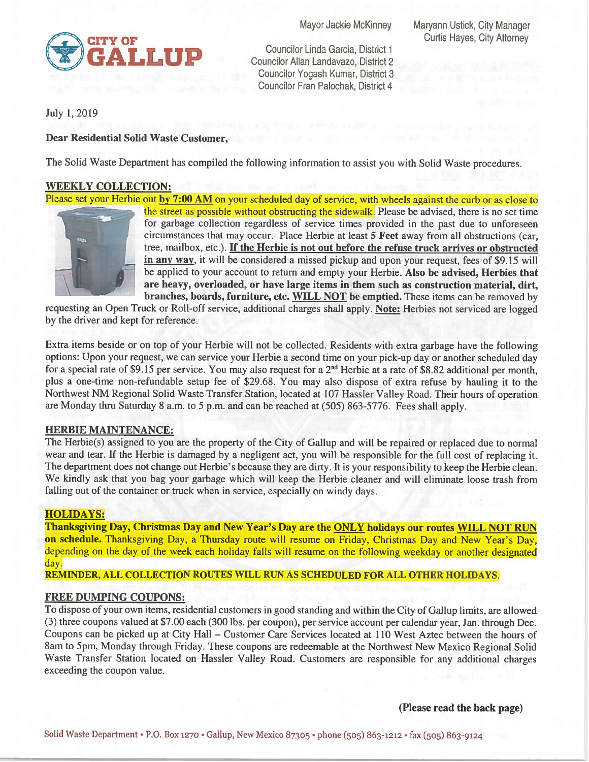

Councilor Linda Garcia, District <sup>1</sup> Councilor Allan Landavazo, District 2 Councilor Yogash Kumar, District 3 Councilor Fran Palochak, District 4

Mayor Jackie McKinney Maryann Ustick, City Manager

July 1, 2019

# Dear Residential Solid Waste Customer,

The Solid Waste Department has compiled the following information to assist you with Solid Waste procedures.

# WEEKLY COLLECTION:

Please set your Herbie out by 7:00 AM on your scheduled day of service, with wheels against the curb or as close to



the street as possible without obstructing the sidewalk. Please be advised, there is no set time for garbage collection regardless of service times provided in the past due to unforeseen circumstances that may occur. Place Herbie at least 5 Feet away from all obstructions (car, tree, mailbox, etc.). If the Herbie is not out before the refuse truck arrives or obstructed in any way, it will be considered a missed pickup and upon your request, fees of \$9.15 will be applied to your account to return and empty your Herbie. Also be advised, Herbies that are heavy, overloaded, or have large items in them such as construction material, dirt, branches, boards, furniture, etc. WILL NOT be emptied. These items can be removed by

requesting an Open Truck or Roll-off service, additional charges shall apply. Note: Herbies not serviced are logged by the driver and kept for reference.

Extra items beside or on top of your Herbie will not be collected. Residents with extra garbage have the following options: Upon your request, we can service your Herbie a second time on your pick-up day or another scheduled day for a special rate of \$9.15 per service. You may also request for a  $2^{nd}$  Herbie at a rate of \$8.82 additional per month, plus a one-time non-refundable setup fee of \$29.68. You may also dispose of extra refuse by hauling it to the Northwest NM Regional Solid Waste Transfer Station, located at 107 Hassler Valley Road. Their hours of operation are Monday thru Saturday <sup>8</sup> a.m. to <sup>5</sup> p.m. and can be reached at (505) 863-5776. Fees shall apply.

# HERBIE MAINTENANCE:

The Herbie(s) assigned to you are the property of the City of Gallup and will be repaired or replaced due to normal wear and tear. If the Herbie is damaged by a negligent act, you will be responsible for the full cost of replacing it. The department does not change out Herbie's because they are dirty. It is your responsibility to keep the Herbie clean. We kindly ask that you bag your garbage which will keep the Herbie cleaner and will eliminate loose trash from falling out of the container or truck when in service, especially on windy days.

## HOLIDAYS:

Thanksgiving Day, Christmas Day and New Year's Day are the ONLY holidays our routes WILL NOT RUN on schedule. Thanksgiving Day, a Thursday route will resume on Friday, Christmas Day and New Year's Day, depending on the day of the week each holiday falls wilt resume on the following weekday or another designated day.

REMINDER, ALL COLLECTION ROUTES WILL RUN AS SCHEDULED FOR ALL OTHER HOLIDAYS.

## FREE DUMPING COUPONS:

To dispose of your own items, residential customers in good standing and within the City of Gallup limits, are allowed (3) three coupons valued at \$7.00 each (300 lbs. per coupon), per service account per calendar year, Jan. through Dec. Coupons can be picked up at City Hall — Customer Care Services located at 110 West Aztec between the hours of 8am to 5pm, Monday through Friday. These coupons are redeemable at the Northwest New Mexico Regional Solid Waste Transfer Station located on Hassler Valley Road. Customers are responsible for any additional charges exceeding the coupon value.